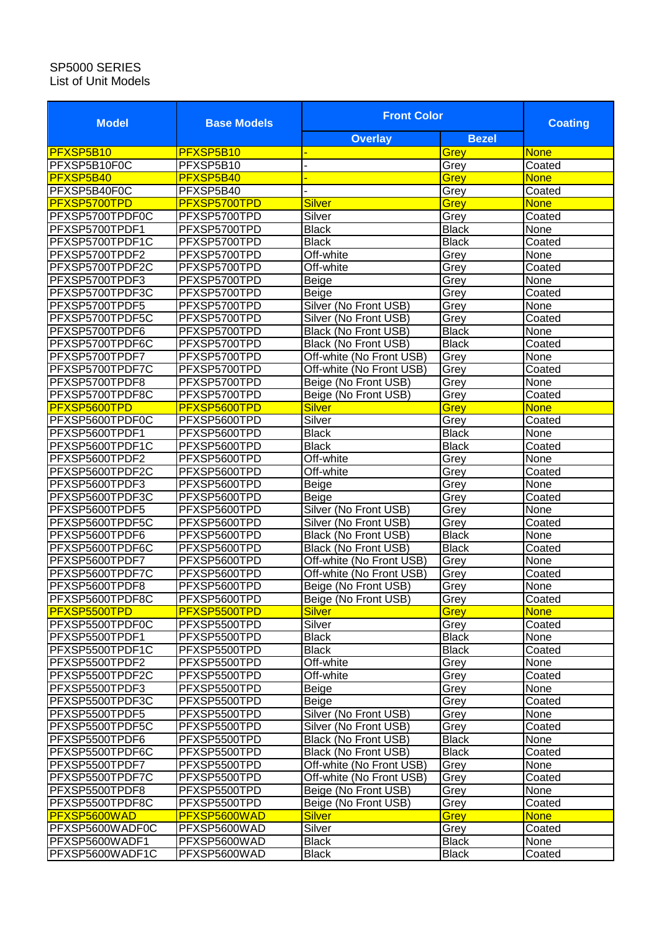## SP5000 SERIES List of Unit Models

| <b>Model</b>                      | <b>Base Models</b>           | <b>Front Color</b>          |              | <b>Coating</b> |
|-----------------------------------|------------------------------|-----------------------------|--------------|----------------|
|                                   |                              | <b>Overlay</b>              | <b>Bezel</b> |                |
| PFXSP5B10                         | PFXSP5B10                    |                             | Grey         | None           |
| PFXSP5B10F0C                      | PFXSP5B10                    |                             | Grey         | Coated         |
| <b>PFXSP5B40</b>                  | PFXSP5B40                    |                             | Grey         | <b>None</b>    |
| PFXSP5B40F0C                      | PFXSP5B40                    |                             | Grey         | Coated         |
| PFXSP5700TPD                      | PFXSP5700TPD                 | <b>Silver</b>               | Grey         | None           |
| PFXSP5700TPDF0C                   | PFXSP5700TPD                 | Silver                      | Grey         | Coated         |
| PFXSP5700TPDF1                    | PFXSP5700TPD                 | <b>Black</b>                | <b>Black</b> | None           |
| PFXSP5700TPDF1C                   | PFXSP5700TPD                 | <b>Black</b>                | <b>Black</b> | Coated         |
| PFXSP5700TPDF2                    | PFXSP5700TPD                 | Off-white                   | Grey         | None           |
| PFXSP5700TPDF2C                   | PFXSP5700TPD                 | Off-white                   | Grey         | Coated         |
| PFXSP5700TPDF3                    | PFXSP5700TPD                 | Beige                       | Grey         | None           |
| PFXSP5700TPDF3C                   | PFXSP5700TPD                 | Beige                       | Grey         | Coated         |
| PFXSP5700TPDF5                    | PFXSP5700TPD                 | Silver (No Front USB)       | Grey         | None           |
| PFXSP5700TPDF5C                   | PFXSP5700TPD                 | Silver (No Front USB)       | Grey         | Coated         |
| PFXSP5700TPDF6                    | PFXSP5700TPD                 | Black (No Front USB)        | <b>Black</b> | None           |
| PFXSP5700TPDF6C                   | PFXSP5700TPD                 | Black (No Front USB)        | <b>Black</b> | Coated         |
| PFXSP5700TPDF7                    | PFXSP5700TPD                 | Off-white (No Front USB)    | Grey         | None           |
| PFXSP5700TPDF7C                   | PFXSP5700TPD                 | Off-white (No Front USB)    | Grey         | Coated         |
| PFXSP5700TPDF8                    | PFXSP5700TPD                 | Beige (No Front USB)        | Grey         | None           |
| PFXSP5700TPDF8C                   | PFXSP5700TPD                 | Beige (No Front USB)        | Grey         | Coated         |
| PFXSP5600TPD                      | PFXSP5600TPD                 | <b>Silver</b>               | <b>Grey</b>  | <b>None</b>    |
| PFXSP5600TPDF0C                   | PFXSP5600TPD                 | Silver                      | Grey         | Coated         |
| PFXSP5600TPDF1                    | PFXSP5600TPD                 | <b>Black</b>                | <b>Black</b> | None           |
| PFXSP5600TPDF1C                   | PFXSP5600TPD                 | <b>Black</b>                | <b>Black</b> | Coated         |
| PFXSP5600TPDF2                    | PFXSP5600TPD                 | Off-white                   | Grey         | None           |
| PFXSP5600TPDF2C                   | PFXSP5600TPD                 | Off-white                   | Grey         | Coated         |
| PFXSP5600TPDF3                    | PFXSP5600TPD                 | <b>Beige</b>                | Grey         | None           |
| PFXSP5600TPDF3C                   | PFXSP5600TPD                 | Beige                       | Grey         | Coated         |
| PFXSP5600TPDF5                    | PFXSP5600TPD                 | Silver (No Front USB)       | Grey         | None           |
| PFXSP5600TPDF5C                   | PFXSP5600TPD                 | Silver (No Front USB)       | Grey         | Coated         |
| PFXSP5600TPDF6                    | PFXSP5600TPD                 | <b>Black (No Front USB)</b> | <b>Black</b> | None           |
| PFXSP5600TPDF6C                   | PFXSP5600TPD                 | Black (No Front USB)        | <b>Black</b> | Coated         |
| PFXSP5600TPDF7                    | PFXSP5600TPD                 | Off-white (No Front USB)    | Grey         | None           |
| PFXSP5600TPDF7C                   | PFXSP5600TPD                 | Off-white (No Front USB)    | Grey         | Coated         |
| PFXSP5600TPDF8                    | PFXSP5600TPD                 | Beige (No Front USB)        | Grey         | None           |
| PFXSP5600TPDF8C                   | PFXSP5600TPD                 | Beige (No Front USB)        | Grey         | Coated         |
| PFXSP5500TPD                      | PFXSP5500TPD                 | <b>Silver</b>               | <b>Grey</b>  | <b>None</b>    |
| PFXSP5500TPDF0C                   | PFXSP5500TPD                 | Silver                      | Grey         | Coated         |
| PFXSP5500TPDF1                    | PFXSP5500TPD                 | <b>Black</b>                | <b>Black</b> | None<br>Coated |
| PFXSP5500TPDF1C                   | PFXSP5500TPD                 | <b>Black</b>                | <b>Black</b> |                |
| PFXSP5500TPDF2<br>PFXSP5500TPDF2C | PFXSP5500TPD<br>PFXSP5500TPD | Off-white<br>Off-white      | Grey<br>Grey | None<br>Coated |
| PFXSP5500TPDF3                    | PFXSP5500TPD                 | Beige                       | Grey         | None           |
| PFXSP5500TPDF3C                   | PFXSP5500TPD                 | Beige                       | Grey         | Coated         |
| PFXSP5500TPDF5                    | PFXSP5500TPD                 | Silver (No Front USB)       | Grey         | None           |
| PFXSP5500TPDF5C                   | PFXSP5500TPD                 | Silver (No Front USB)       | Grey         | Coated         |
| PFXSP5500TPDF6                    | PFXSP5500TPD                 | Black (No Front USB)        | <b>Black</b> | None           |
| PFXSP5500TPDF6C                   | PFXSP5500TPD                 | Black (No Front USB)        | <b>Black</b> | Coated         |
| PFXSP5500TPDF7                    | PFXSP5500TPD                 | Off-white (No Front USB)    | Grey         | None           |
| PFXSP5500TPDF7C                   | PFXSP5500TPD                 | Off-white (No Front USB)    | Grey         | Coated         |
| PFXSP5500TPDF8                    | PFXSP5500TPD                 | Beige (No Front USB)        | Grey         | None           |
| PFXSP5500TPDF8C                   | PFXSP5500TPD                 | Beige (No Front USB)        | Grey         | Coated         |
| <b>PFXSP5600WAD</b>               | PFXSP5600WAD                 | <b>Silver</b>               | Grey         | <b>None</b>    |
| PFXSP5600WADF0C                   | PFXSP5600WAD                 | Silver                      | Grey         | Coated         |
| PFXSP5600WADF1                    | PFXSP5600WAD                 | Black                       | <b>Black</b> | None           |
| PFXSP5600WADF1C                   | PFXSP5600WAD                 | Black                       | <b>Black</b> | Coated         |